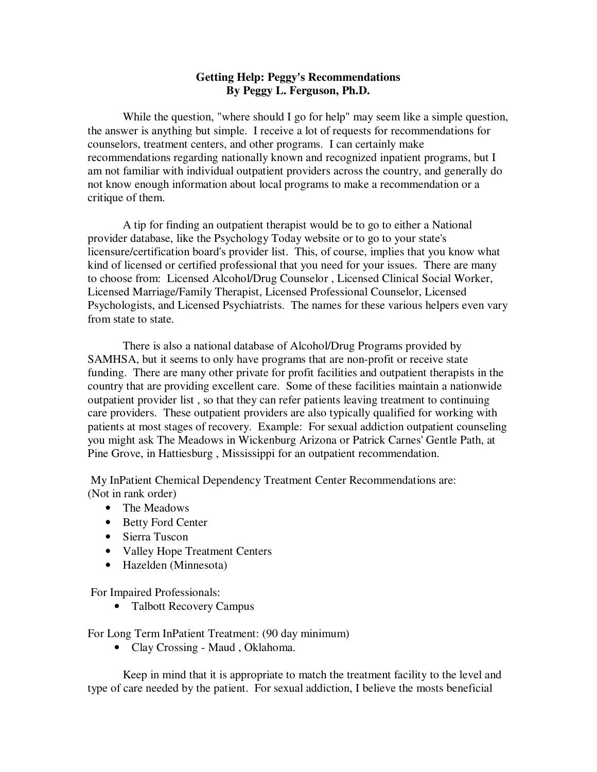## **Getting Help: Peggy's Recommendations By Peggy L. Ferguson, Ph.D.**

While the question, "where should I go for help" may seem like a simple question, the answer is anything but simple. I receive a lot of requests for recommendations for counselors, treatment centers, and other programs. I can certainly make recommendations regarding nationally known and recognized inpatient programs, but I am not familiar with individual outpatient providers across the country, and generally do not know enough information about local programs to make a recommendation or a critique of them.

 A tip for finding an outpatient therapist would be to go to either a National provider database, like the Psychology Today website or to go to your state's licensure/certification board's provider list. This, of course, implies that you know what kind of licensed or certified professional that you need for your issues. There are many to choose from: Licensed Alcohol/Drug Counselor , Licensed Clinical Social Worker, Licensed Marriage/Family Therapist, Licensed Professional Counselor, Licensed Psychologists, and Licensed Psychiatrists. The names for these various helpers even vary from state to state.

 There is also a national database of Alcohol/Drug Programs provided by SAMHSA, but it seems to only have programs that are non-profit or receive state funding. There are many other private for profit facilities and outpatient therapists in the country that are providing excellent care. Some of these facilities maintain a nationwide outpatient provider list , so that they can refer patients leaving treatment to continuing care providers. These outpatient providers are also typically qualified for working with patients at most stages of recovery. Example: For sexual addiction outpatient counseling you might ask The Meadows in Wickenburg Arizona or Patrick Carnes' Gentle Path, at Pine Grove, in Hattiesburg , Mississippi for an outpatient recommendation.

 My InPatient Chemical Dependency Treatment Center Recommendations are: (Not in rank order)

- The Meadows
- Betty Ford Center
- Sierra Tuscon
- Valley Hope Treatment Centers
- Hazelden (Minnesota)

For Impaired Professionals:

• Talbott Recovery Campus

For Long Term InPatient Treatment: (90 day minimum)

• Clay Crossing - Maud , Oklahoma.

 Keep in mind that it is appropriate to match the treatment facility to the level and type of care needed by the patient. For sexual addiction, I believe the mosts beneficial